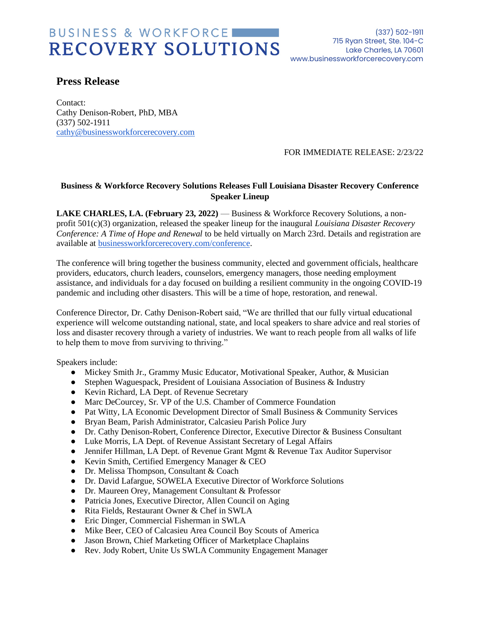## BUSINESS & WORKFORCE RECOVERY SOLUTIONS WWW.businessworkforcerecovery.com

(337) 502-1911 715 Ryan Street, Ste. 104-C Lake Charles, LA 70601

### **Press Release**

Contact: Cathy Denison-Robert, PhD, MBA (337) 502-1911 [cathy@businessworkforcerecovery.com](mailto:cathy@businessworkforcerecovery.com)

#### FOR IMMEDIATE RELEASE: 2/23/22

### **Business & Workforce Recovery Solutions Releases Full Louisiana Disaster Recovery Conference Speaker Lineup**

**LAKE CHARLES, LA. (February 23, 2022)** — Business & Workforce Recovery Solutions, a nonprofit 501(c)(3) organization, released the speaker lineup for the inaugural *Louisiana Disaster Recovery Conference: A Time of Hope and Renewal* to be held virtually on March 23rd. Details and registration are available at [businessworkforcerecovery.com/conference.](https://businessworkforcerecovery.com/conference)

The conference will bring together the business community, elected and government officials, healthcare providers, educators, church leaders, counselors, emergency managers, those needing employment assistance, and individuals for a day focused on building a resilient community in the ongoing COVID-19 pandemic and including other disasters. This will be a time of hope, restoration, and renewal.

Conference Director, Dr. Cathy Denison-Robert said, "We are thrilled that our fully virtual educational experience will welcome outstanding national, state, and local speakers to share advice and real stories of loss and disaster recovery through a variety of industries. We want to reach people from all walks of life to help them to move from surviving to thriving."

Speakers include:

- Mickey Smith Jr., Grammy Music Educator, Motivational Speaker, Author, & Musician
- Stephen Waguespack, President of Louisiana Association of Business & Industry
- Kevin Richard, LA Dept. of Revenue Secretary
- Marc DeCourcey, Sr. VP of the U.S. Chamber of Commerce Foundation
- Pat Witty, LA Economic Development Director of Small Business & Community Services
- Bryan Beam, Parish Administrator, Calcasieu Parish Police Jury
- Dr. Cathy Denison-Robert, Conference Director, Executive Director & Business Consultant
- Luke Morris, LA Dept. of Revenue Assistant Secretary of Legal Affairs
- Jennifer Hillman, LA Dept. of Revenue Grant Mgmt & Revenue Tax Auditor Supervisor
- Kevin Smith, Certified Emergency Manager & CEO
- Dr. Melissa Thompson, Consultant & Coach
- Dr. David Lafargue, SOWELA Executive Director of Workforce Solutions
- Dr. Maureen Orey, Management Consultant & Professor
- Patricia Jones, Executive Director, Allen Council on Aging
- Rita Fields, Restaurant Owner & Chef in SWLA
- Eric Dinger, Commercial Fisherman in SWLA
- Mike Beer, CEO of Calcasieu Area Council Boy Scouts of America
- Jason Brown, Chief Marketing Officer of Marketplace Chaplains
- Rev. Jody Robert, Unite Us SWLA Community Engagement Manager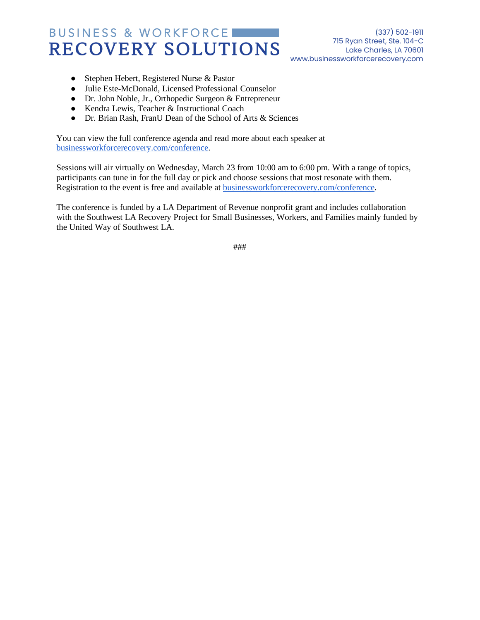## BUSINESS & WORKFORCE RECOVERY SOLUTIONS WWW.businessworkforcerecovery.com

(337) 502-1911 715 Ryan Street, Ste. 104-C Lake Charles, LA 70601

- Stephen Hebert, Registered Nurse & Pastor
- Julie Este-McDonald, Licensed Professional Counselor
- Dr. John Noble, Jr., Orthopedic Surgeon & Entrepreneur
- Kendra Lewis, Teacher & Instructional Coach
- Dr. Brian Rash, FranU Dean of the School of Arts & Sciences

You can view the full conference agenda and read more about each speaker at [businessworkforcerecovery.com/conference.](https://businessworkforcerecovery.com/la-disaster-recovery-conference/#schedule)

Sessions will air virtually on Wednesday, March 23 from 10:00 am to 6:00 pm. With a range of topics, participants can tune in for the full day or pick and choose sessions that most resonate with them. Registration to the event is free and available at [businessworkforcerecovery.com/conference.](https://businessworkforcerecovery.com/conference)

The conference is funded by a LA Department of Revenue nonprofit grant and includes collaboration with the Southwest LA Recovery Project for Small Businesses, Workers, and Families mainly funded by the United Way of Southwest LA.

###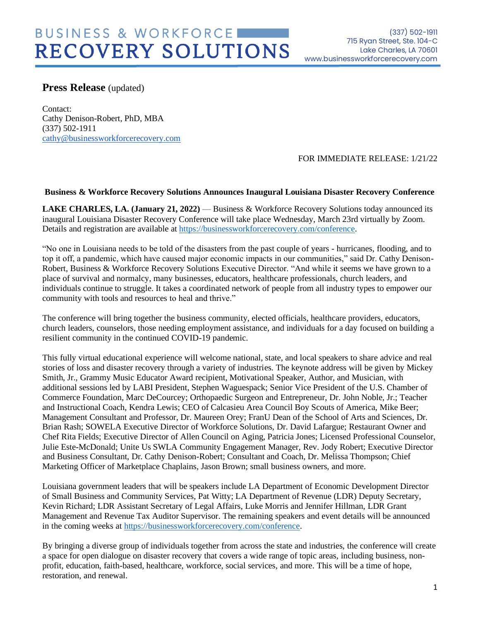### **Press Release** (updated)

Contact: Cathy Denison-Robert, PhD, MBA (337) 502-1911 [cathy@businessworkforcerecovery.com](mailto:cathy@businessworkforcerecovery.com)

### FOR IMMEDIATE RELEASE: 1/21/22

#### **Business & Workforce Recovery Solutions Announces Inaugural Louisiana Disaster Recovery Conference**

**LAKE CHARLES, LA. (January 21, 2022)** — Business & Workforce Recovery Solutions today announced its inaugural Louisiana Disaster Recovery Conference will take place Wednesday, March 23rd virtually by Zoom. Details and registration are available at [https://businessworkforcerecovery.com/conference.](https://businessworkforcerecovery.com/conference)

"No one in Louisiana needs to be told of the disasters from the past couple of years - hurricanes, flooding, and to top it off, a pandemic, which have caused major economic impacts in our communities," said Dr. Cathy Denison-Robert, Business & Workforce Recovery Solutions Executive Director. "And while it seems we have grown to a place of survival and normalcy, many businesses, educators, healthcare professionals, church leaders, and individuals continue to struggle. It takes a coordinated network of people from all industry types to empower our community with tools and resources to heal and thrive."

The conference will bring together the business community, elected officials, healthcare providers, educators, church leaders, counselors, those needing employment assistance, and individuals for a day focused on building a resilient community in the continued COVID-19 pandemic.

This fully virtual educational experience will welcome national, state, and local speakers to share advice and real stories of loss and disaster recovery through a variety of industries. The keynote address will be given by Mickey Smith, Jr., Grammy Music Educator Award recipient, Motivational Speaker, Author, and Musician, with additional sessions led by LABI President, Stephen Waguespack; Senior Vice President of the U.S. Chamber of Commerce Foundation, Marc DeCourcey; Orthopaedic Surgeon and Entrepreneur, Dr. John Noble, Jr.; Teacher and Instructional Coach, Kendra Lewis; CEO of Calcasieu Area Council Boy Scouts of America, Mike Beer; Management Consultant and Professor, Dr. Maureen Orey; FranU Dean of the School of Arts and Sciences, Dr. Brian Rash; SOWELA Executive Director of Workforce Solutions, Dr. David Lafargue; Restaurant Owner and Chef Rita Fields; Executive Director of Allen Council on Aging, Patricia Jones; Licensed Professional Counselor, Julie Este-McDonald; Unite Us SWLA Community Engagement Manager, Rev. Jody Robert; Executive Director and Business Consultant, Dr. Cathy Denison-Robert; Consultant and Coach, Dr. Melissa Thompson; Chief Marketing Officer of Marketplace Chaplains, Jason Brown; small business owners, and more.

Louisiana government leaders that will be speakers include LA Department of Economic Development Director of Small Business and Community Services, Pat Witty; LA Department of Revenue (LDR) Deputy Secretary, Kevin Richard; LDR Assistant Secretary of Legal Affairs, Luke Morris and Jennifer Hillman, LDR Grant Management and Revenue Tax Auditor Supervisor. The remaining speakers and event details will be announced in the coming weeks at [https://businessworkforcerecovery.com/conference.](https://businessworkforcerecovery.com/conference)

By bringing a diverse group of individuals together from across the state and industries, the conference will create a space for open dialogue on disaster recovery that covers a wide range of topic areas, including business, nonprofit, education, faith-based, healthcare, workforce, social services, and more. This will be a time of hope, restoration, and renewal.